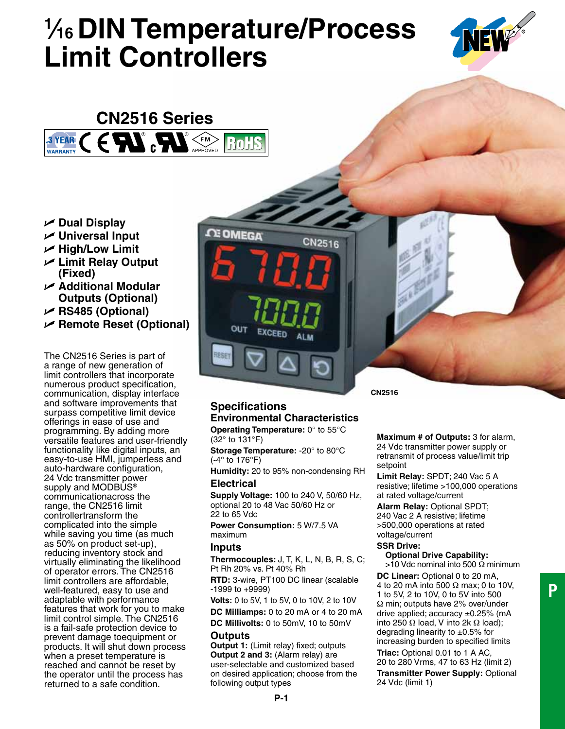# **1 ⁄16 DIN Temperature/Process Limit Controllers**



#### **CN2516 Series** 3 YEAR **F M** RoH WARRANTY APPROVED APPROVED

- $ᡃ$  **Dual Display**
- **Universal Input**
- $⊬$  **High/Low Limit**
- **Limit Relay Output (Fixed)**
- **Additional Modular Outputs (Optional)**
- **RS485 (Optional)**
- **Remote Reset (Optional)**

The CN2516 Series is part of a range of new generation of limit controllers that incorporate numerous product specification, communication, display interface and software improvements that surpass competitive limit device offerings in ease of use and programming. By adding more versatile features and user-friendly functionality like digital inputs, an easy-to-use HMI, jumperless and auto-hardware configuration, 24 Vdc transmitter power supply and MODBUS<sup>®</sup> communicationacross the range, the CN2516 limit controllertransform the complicated into the simple while saving you time (as much as 50% on product set-up), reducing inventory stock and virtually eliminating the likelihood of operator errors. The CN2516 limit controllers are affordable, well-featured, easy to use and adaptable with performance features that work for you to make limit control simple. The CN2516 is a fail-safe protection device to prevent damage toequipment or products. It will shut down process when a preset temperature is reached and cannot be reset by the operator until the process has returned to a safe condition.



# **Specifications Environmental Characteristics**

**Operating Temperature:** 0° to 55°C (32° to 131°F)

**Storage Temperature:** -20° to 80°C (-4° to 176°F)

**Humidity:** 20 to 95% non-condensing RH **Electrical**

**Supply Voltage:** 100 to 240 V, 50/60 Hz, optional 20 to 48 Vac 50/60 Hz or 22 to 65 Vdc

**Power Consumption:** 5 W/7.5 VA maximum

#### **Inputs**

**Thermocouples:** J, T, K, L, N, B, R, S, C; Pt Rh 20% vs. Pt 40% Rh

**RTD:** 3-wire, PT100 DC linear (scalable -1999 to +9999)

**Volts:** 0 to 5V, 1 to 5V, 0 to 10V, 2 to 10V **DC Milliamps:** 0 to 20 mA or 4 to 20 mA

**DC Millivolts:** 0 to 50mV, 10 to 50mV

#### **Outputs**

**Output 1:** (Limit relay) fixed; outputs **Output 2 and 3:** (Alarm relay) are user-selectable and customized based on desired application; choose from the following output types

**CN2516**

**Maximum # of Outputs:** 3 for alarm, 24 Vdc transmitter power supply or retransmit of process value/limit trip setpoint

**Limit Relay:** SPDT; 240 Vac 5 A resistive; lifetime >100,000 operations at rated voltage/current

**Alarm Relay:** Optional SPDT; 240 Vac 2 A resistive; lifetime >500,000 operations at rated voltage/current

#### **SSR Drive:**

**Optional Drive Capability:**  $>$ 10 Vdc nominal into 500  $\Omega$  minimum **DC Linear:** Optional 0 to 20 mA, 4 to 20 mA into 500 Ω max; 0 to 10V, 1 to 5V, 2 to 10V, 0 to 5V into 500 Ω min; outputs have 2% over/under drive applied; accuracy  $\pm 0.25\%$  (mA into 250 Ω load, V into 2k Ω load); degrading linearity to  $\pm 0.5\%$  for increasing burden to specified limits **Triac:** Optional 0.01 to 1 A AC, 20 to 280 Vrms, 47 to 63 Hz (limit 2) **Transmitter Power Supply:** Optional 24 Vdc (limit 1)